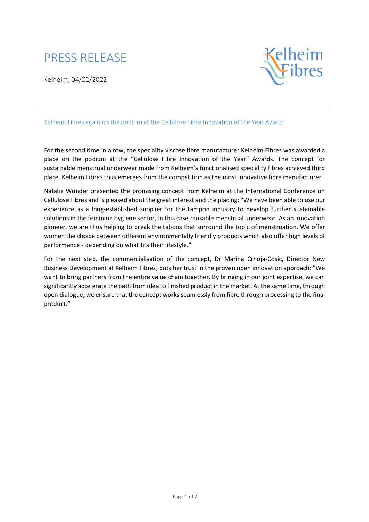## PRESS RELEASE

Kelheim, 04/02/2022



## Kelheim Fibres again on the podium at the Cellulose Fibre Innovation of the Year Award

For the second time in a row, the speciality viscose fibre manufacturer Kelheim Fibres was awarded a place on the podium at the "Cellulose Fibre Innovation of the Year" Awards. The concept for sustainable menstrual underwear made from Kelheim's functionalised speciality fibres achieved third place. Kelheim Fibres thus emerges from the competition as the most innovative fibre manufacturer.

Natalie Wunder presented the promising concept from Kelheim at the International Conference on Cellulose Fibres and is pleased about the great interest and the placing: "We have been able to use our experience as a long-established supplier for the tampon industry to develop further sustainable solutions in the feminine hygiene sector, in this case reusable menstrual underwear. As an innovation pioneer, we are thus helping to break the taboos that surround the topic of menstruation. We offer women the choice between different environmentally friendly products which also offer high levels of performance - depending on what fits their lifestyle."

For the next step, the commercialisation of the concept, Dr Marina Crnoja-Cosic, Director New Business Development at Kelheim Fibres, puts her trust in the proven open innovation approach: "We want to bring partners from the entire value chain together. By bringing in our joint expertise, we can significantly accelerate the path from idea to finished product in the market. At the same time, through open dialogue, we ensure that the concept works seamlessly from fibre through processing to the final product."